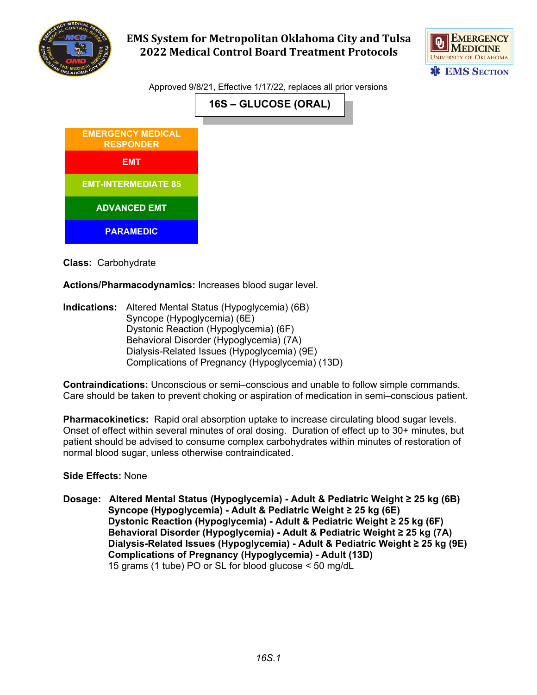

## **EMS System for Metropolitan Oklahoma City and Tulsa 2022 Medical Control Board Treatment Protocols**



Approved 9/8/21, Effective 1/17/22, replaces all prior versions

| <b>EMERGENCY MEDICAL</b><br><b>RESPONDER</b> |
|----------------------------------------------|
| <b>EMT</b>                                   |
| <b>EMT-INTERMEDIATE 85</b>                   |
| <b>ADVANCED EMT</b>                          |
| <b>PARAMEDIC</b>                             |

**Class:** Carbohydrate

**Actions/Pharmacodynamics:** Increases blood sugar level.

**Indications:** Altered Mental Status (Hypoglycemia) (6B) Syncope (Hypoglycemia) (6E) Dystonic Reaction (Hypoglycemia) (6F) Behavioral Disorder (Hypoglycemia) (7A) Dialysis-Related Issues (Hypoglycemia) (9E) Complications of Pregnancy (Hypoglycemia) (13D)

**Contraindications:** Unconscious or semi–conscious and unable to follow simple commands. Care should be taken to prevent choking or aspiration of medication in semi–conscious patient.

**Pharmacokinetics:** Rapid oral absorption uptake to increase circulating blood sugar levels. Onset of effect within several minutes of oral dosing. Duration of effect up to 30+ minutes, but patient should be advised to consume complex carbohydrates within minutes of restoration of normal blood sugar, unless otherwise contraindicated.

## **Side Effects:** None

**Dosage: Altered Mental Status (Hypoglycemia) - Adult & Pediatric Weight ≥ 25 kg (6B) Syncope (Hypoglycemia) - Adult & Pediatric Weight ≥ 25 kg (6E) Dystonic Reaction (Hypoglycemia) - Adult & Pediatric Weight ≥ 25 kg (6F) Behavioral Disorder (Hypoglycemia) - Adult & Pediatric Weight ≥ 25 kg (7A) Dialysis-Related Issues (Hypoglycemia) - Adult & Pediatric Weight ≥ 25 kg (9E) Complications of Pregnancy (Hypoglycemia) - Adult (13D)** 15 grams (1 tube) PO or SL for blood glucose < 50 mg/dL